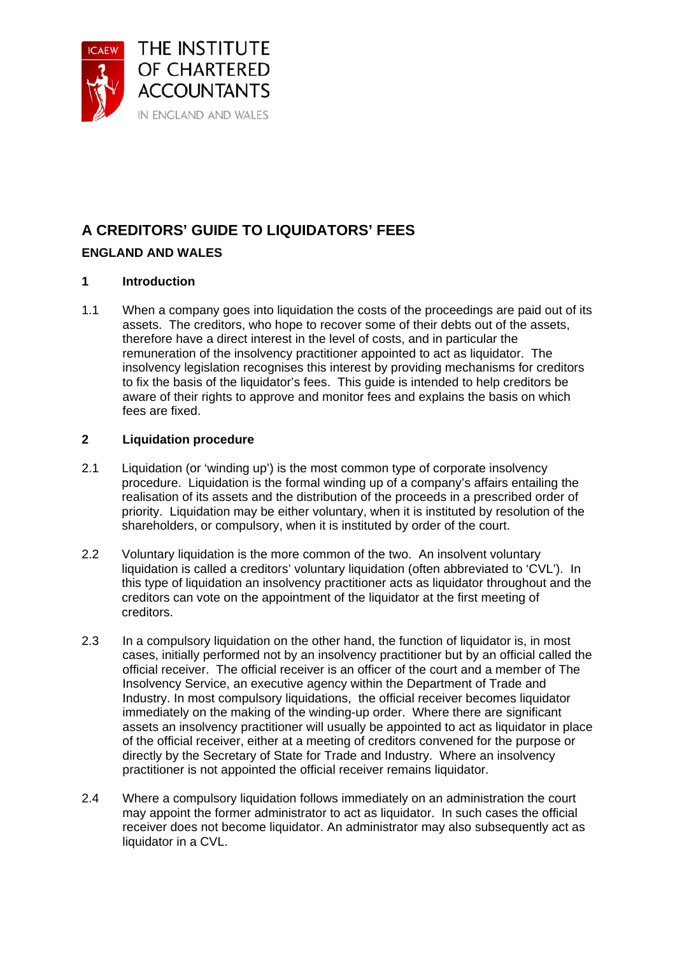

# **A CREDITORS' GUIDE TO LIQUIDATORS' FEES**

# **ENGLAND AND WALES**

## **1 Introduction**

1.1 When a company goes into liquidation the costs of the proceedings are paid out of its assets. The creditors, who hope to recover some of their debts out of the assets, therefore have a direct interest in the level of costs, and in particular the remuneration of the insolvency practitioner appointed to act as liquidator. The insolvency legislation recognises this interest by providing mechanisms for creditors to fix the basis of the liquidator's fees. This guide is intended to help creditors be aware of their rights to approve and monitor fees and explains the basis on which fees are fixed.

## **2 Liquidation procedure**

- 2.1 Liquidation (or 'winding up') is the most common type of corporate insolvency procedure. Liquidation is the formal winding up of a company's affairs entailing the realisation of its assets and the distribution of the proceeds in a prescribed order of priority. Liquidation may be either voluntary, when it is instituted by resolution of the shareholders, or compulsory, when it is instituted by order of the court.
- 2.2 Voluntary liquidation is the more common of the two. An insolvent voluntary liquidation is called a creditors' voluntary liquidation (often abbreviated to 'CVL'). In this type of liquidation an insolvency practitioner acts as liquidator throughout and the creditors can vote on the appointment of the liquidator at the first meeting of creditors.
- 2.3 In a compulsory liquidation on the other hand, the function of liquidator is, in most cases, initially performed not by an insolvency practitioner but by an official called the official receiver. The official receiver is an officer of the court and a member of The Insolvency Service, an executive agency within the Department of Trade and Industry. In most compulsory liquidations, the official receiver becomes liquidator immediately on the making of the winding-up order. Where there are significant assets an insolvency practitioner will usually be appointed to act as liquidator in place of the official receiver, either at a meeting of creditors convened for the purpose or directly by the Secretary of State for Trade and Industry. Where an insolvency practitioner is not appointed the official receiver remains liquidator.
- 2.4 Where a compulsory liquidation follows immediately on an administration the court may appoint the former administrator to act as liquidator. In such cases the official receiver does not become liquidator. An administrator may also subsequently act as liquidator in a CVL.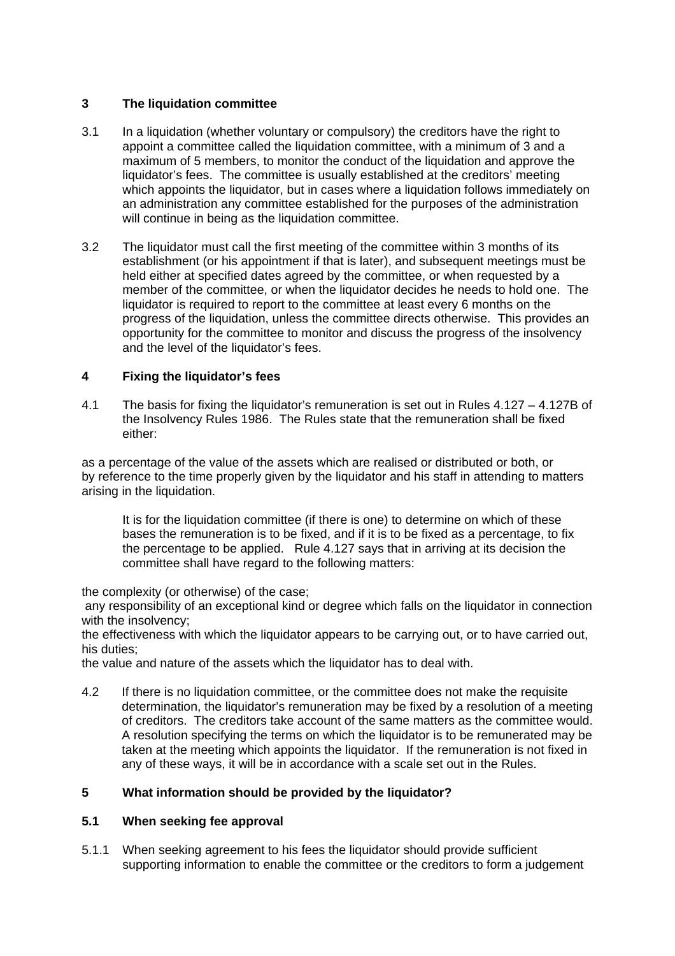## **3 The liquidation committee**

- 3.1 In a liquidation (whether voluntary or compulsory) the creditors have the right to appoint a committee called the liquidation committee, with a minimum of 3 and a maximum of 5 members, to monitor the conduct of the liquidation and approve the liquidator's fees. The committee is usually established at the creditors' meeting which appoints the liquidator, but in cases where a liquidation follows immediately on an administration any committee established for the purposes of the administration will continue in being as the liquidation committee.
- 3.2 The liquidator must call the first meeting of the committee within 3 months of its establishment (or his appointment if that is later), and subsequent meetings must be held either at specified dates agreed by the committee, or when requested by a member of the committee, or when the liquidator decides he needs to hold one. The liquidator is required to report to the committee at least every 6 months on the progress of the liquidation, unless the committee directs otherwise. This provides an opportunity for the committee to monitor and discuss the progress of the insolvency and the level of the liquidator's fees.

## **4 Fixing the liquidator's fees**

4.1 The basis for fixing the liquidator's remuneration is set out in Rules 4.127 – 4.127B of the Insolvency Rules 1986. The Rules state that the remuneration shall be fixed either:

as a percentage of the value of the assets which are realised or distributed or both, or by reference to the time properly given by the liquidator and his staff in attending to matters arising in the liquidation.

It is for the liquidation committee (if there is one) to determine on which of these bases the remuneration is to be fixed, and if it is to be fixed as a percentage, to fix the percentage to be applied. Rule 4.127 says that in arriving at its decision the committee shall have regard to the following matters:

the complexity (or otherwise) of the case;

 any responsibility of an exceptional kind or degree which falls on the liquidator in connection with the insolvency;

the effectiveness with which the liquidator appears to be carrying out, or to have carried out, his duties;

the value and nature of the assets which the liquidator has to deal with.

4.2 If there is no liquidation committee, or the committee does not make the requisite determination, the liquidator's remuneration may be fixed by a resolution of a meeting of creditors. The creditors take account of the same matters as the committee would. A resolution specifying the terms on which the liquidator is to be remunerated may be taken at the meeting which appoints the liquidator. If the remuneration is not fixed in any of these ways, it will be in accordance with a scale set out in the Rules.

## **5 What information should be provided by the liquidator?**

#### **5.1 When seeking fee approval**

5.1.1 When seeking agreement to his fees the liquidator should provide sufficient supporting information to enable the committee or the creditors to form a judgement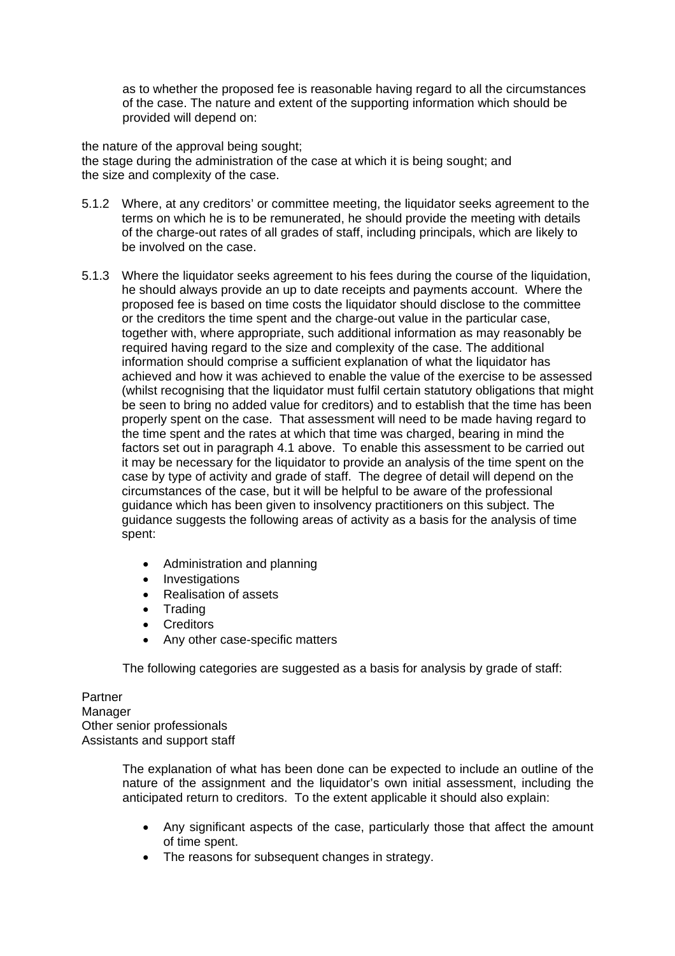as to whether the proposed fee is reasonable having regard to all the circumstances of the case. The nature and extent of the supporting information which should be provided will depend on:

the nature of the approval being sought;

the stage during the administration of the case at which it is being sought; and the size and complexity of the case.

- 5.1.2 Where, at any creditors' or committee meeting, the liquidator seeks agreement to the terms on which he is to be remunerated, he should provide the meeting with details of the charge-out rates of all grades of staff, including principals, which are likely to be involved on the case.
- 5.1.3 Where the liquidator seeks agreement to his fees during the course of the liquidation, he should always provide an up to date receipts and payments account. Where the proposed fee is based on time costs the liquidator should disclose to the committee or the creditors the time spent and the charge-out value in the particular case, together with, where appropriate, such additional information as may reasonably be required having regard to the size and complexity of the case. The additional information should comprise a sufficient explanation of what the liquidator has achieved and how it was achieved to enable the value of the exercise to be assessed (whilst recognising that the liquidator must fulfil certain statutory obligations that might be seen to bring no added value for creditors) and to establish that the time has been properly spent on the case. That assessment will need to be made having regard to the time spent and the rates at which that time was charged, bearing in mind the factors set out in paragraph 4.1 above. To enable this assessment to be carried out it may be necessary for the liquidator to provide an analysis of the time spent on the case by type of activity and grade of staff. The degree of detail will depend on the circumstances of the case, but it will be helpful to be aware of the professional guidance which has been given to insolvency practitioners on this subject. The guidance suggests the following areas of activity as a basis for the analysis of time spent:
	- Administration and planning
	- Investigations
	- Realisation of assets
	- Trading
	- Creditors
	- Any other case-specific matters

The following categories are suggested as a basis for analysis by grade of staff:

Partner Manager Other senior professionals Assistants and support staff

> The explanation of what has been done can be expected to include an outline of the nature of the assignment and the liquidator's own initial assessment, including the anticipated return to creditors. To the extent applicable it should also explain:

- Any significant aspects of the case, particularly those that affect the amount of time spent.
- The reasons for subsequent changes in strategy.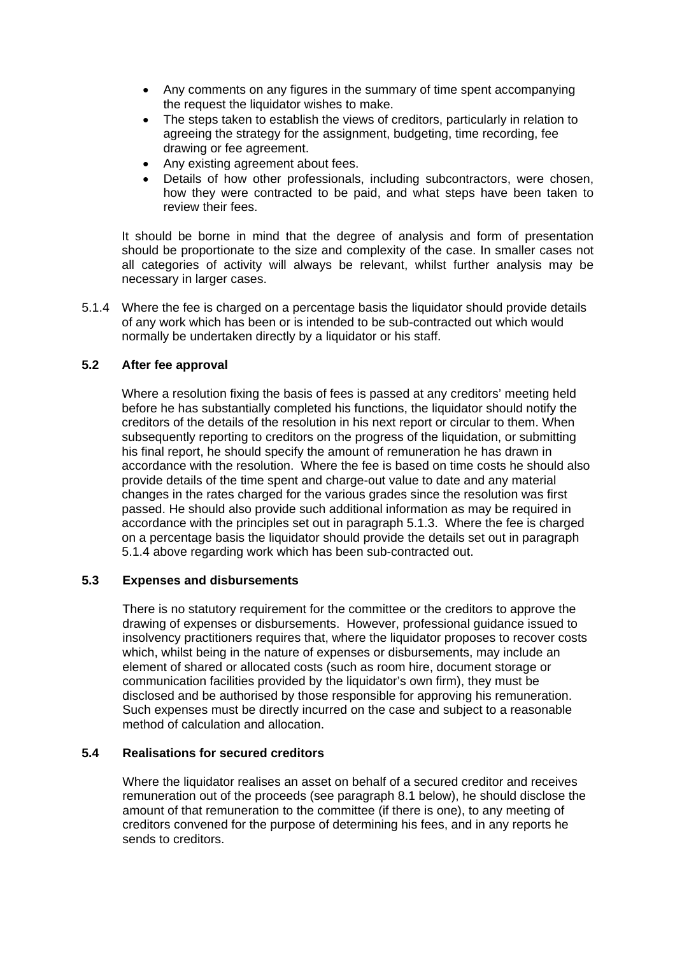- Any comments on any figures in the summary of time spent accompanying the request the liquidator wishes to make.
- The steps taken to establish the views of creditors, particularly in relation to agreeing the strategy for the assignment, budgeting, time recording, fee drawing or fee agreement.
- Any existing agreement about fees.
- Details of how other professionals, including subcontractors, were chosen, how they were contracted to be paid, and what steps have been taken to review their fees.

It should be borne in mind that the degree of analysis and form of presentation should be proportionate to the size and complexity of the case. In smaller cases not all categories of activity will always be relevant, whilst further analysis may be necessary in larger cases.

5.1.4 Where the fee is charged on a percentage basis the liquidator should provide details of any work which has been or is intended to be sub-contracted out which would normally be undertaken directly by a liquidator or his staff.

## **5.2 After fee approval**

 Where a resolution fixing the basis of fees is passed at any creditors' meeting held before he has substantially completed his functions, the liquidator should notify the creditors of the details of the resolution in his next report or circular to them. When subsequently reporting to creditors on the progress of the liquidation, or submitting his final report, he should specify the amount of remuneration he has drawn in accordance with the resolution. Where the fee is based on time costs he should also provide details of the time spent and charge-out value to date and any material changes in the rates charged for the various grades since the resolution was first passed. He should also provide such additional information as may be required in accordance with the principles set out in paragraph 5.1.3. Where the fee is charged on a percentage basis the liquidator should provide the details set out in paragraph 5.1.4 above regarding work which has been sub-contracted out.

#### **5.3 Expenses and disbursements**

There is no statutory requirement for the committee or the creditors to approve the drawing of expenses or disbursements. However, professional guidance issued to insolvency practitioners requires that, where the liquidator proposes to recover costs which, whilst being in the nature of expenses or disbursements, may include an element of shared or allocated costs (such as room hire, document storage or communication facilities provided by the liquidator's own firm), they must be disclosed and be authorised by those responsible for approving his remuneration. Such expenses must be directly incurred on the case and subject to a reasonable method of calculation and allocation.

#### **5.4 Realisations for secured creditors**

Where the liquidator realises an asset on behalf of a secured creditor and receives remuneration out of the proceeds (see paragraph 8.1 below), he should disclose the amount of that remuneration to the committee (if there is one), to any meeting of creditors convened for the purpose of determining his fees, and in any reports he sends to creditors.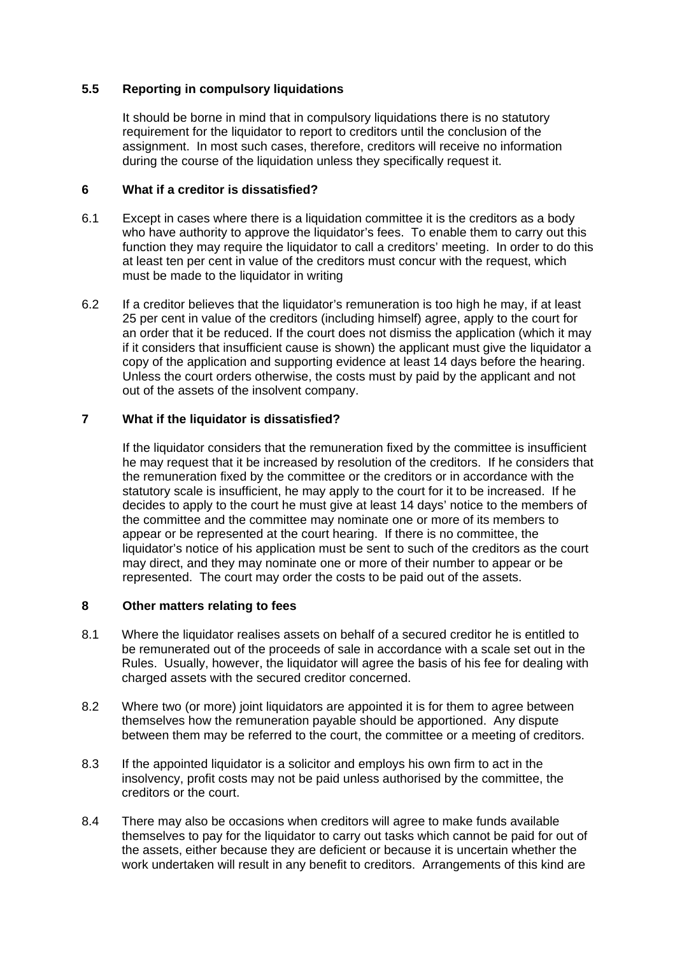#### **5.5 Reporting in compulsory liquidations**

It should be borne in mind that in compulsory liquidations there is no statutory requirement for the liquidator to report to creditors until the conclusion of the assignment. In most such cases, therefore, creditors will receive no information during the course of the liquidation unless they specifically request it.

#### **6 What if a creditor is dissatisfied?**

- 6.1 Except in cases where there is a liquidation committee it is the creditors as a body who have authority to approve the liquidator's fees. To enable them to carry out this function they may require the liquidator to call a creditors' meeting. In order to do this at least ten per cent in value of the creditors must concur with the request, which must be made to the liquidator in writing
- 6.2 If a creditor believes that the liquidator's remuneration is too high he may, if at least 25 per cent in value of the creditors (including himself) agree, apply to the court for an order that it be reduced. If the court does not dismiss the application (which it may if it considers that insufficient cause is shown) the applicant must give the liquidator a copy of the application and supporting evidence at least 14 days before the hearing. Unless the court orders otherwise, the costs must by paid by the applicant and not out of the assets of the insolvent company.

## **7 What if the liquidator is dissatisfied?**

 If the liquidator considers that the remuneration fixed by the committee is insufficient he may request that it be increased by resolution of the creditors. If he considers that the remuneration fixed by the committee or the creditors or in accordance with the statutory scale is insufficient, he may apply to the court for it to be increased. If he decides to apply to the court he must give at least 14 days' notice to the members of the committee and the committee may nominate one or more of its members to appear or be represented at the court hearing. If there is no committee, the liquidator's notice of his application must be sent to such of the creditors as the court may direct, and they may nominate one or more of their number to appear or be represented. The court may order the costs to be paid out of the assets.

#### **8 Other matters relating to fees**

- 8.1 Where the liquidator realises assets on behalf of a secured creditor he is entitled to be remunerated out of the proceeds of sale in accordance with a scale set out in the Rules. Usually, however, the liquidator will agree the basis of his fee for dealing with charged assets with the secured creditor concerned.
- 8.2 Where two (or more) joint liquidators are appointed it is for them to agree between themselves how the remuneration payable should be apportioned. Any dispute between them may be referred to the court, the committee or a meeting of creditors.
- 8.3 If the appointed liquidator is a solicitor and employs his own firm to act in the insolvency, profit costs may not be paid unless authorised by the committee, the creditors or the court.
- 8.4 There may also be occasions when creditors will agree to make funds available themselves to pay for the liquidator to carry out tasks which cannot be paid for out of the assets, either because they are deficient or because it is uncertain whether the work undertaken will result in any benefit to creditors. Arrangements of this kind are